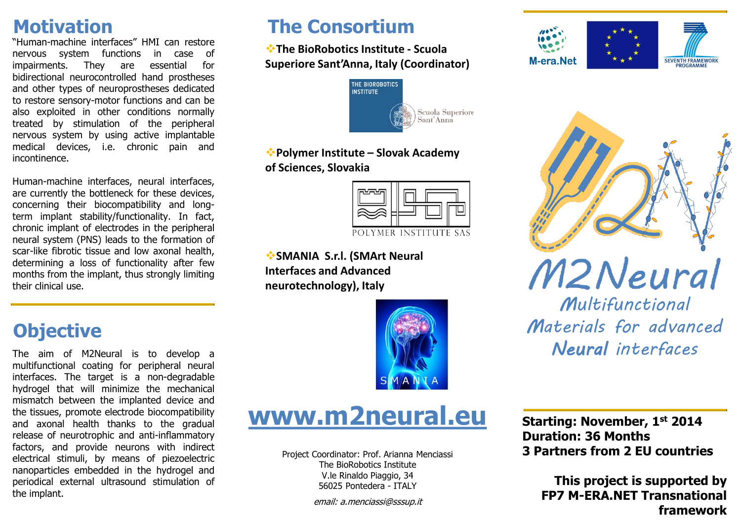### **Motivation**

"Human-machine interfaces" HMI can restore nervous system functions in case of impairments. They are essential for bidirectional neurocontrolled hand prostheses and other types of neuroprostheses dedicated to restore sensory-motor functions and can be also exploited in other conditions normally treated by stimulation of the peripheral nervous system by using active implantable medical devices, i.e. chronic pain and incontinence.

Human-machine interfaces, neural interfaces, are currently the bottleneck for these devices, concerning their biocompatibility and longterm implant stability/functionality. In fact, chronic implant of electrodes in the peripheral neural system (PNS) leads to the formation of scar-like fibrotic tissue and low axonal health, determining a loss of functionality after few months from the implant, thus strongly limiting their clinical use.

## **The Consortium**

**The BioRobotics Institute - Scuola Superiore Sant'Anna, Italy (Coordinator)**



**Polymer Institute – Slovak Academy of Sciences, Slovakia**



**SMANIA S.r.l. (SMArt Neural Interfaces and Advanced neurotechnology), Italy**



## **Objective**

The aim of M2Neural is to develop a multifunctional coating for peripheral neural interfaces. The target is a non-degradable hydrogel that will minimize the mechanical mismatch between the implanted device and the tissues, promote electrode biocompatibility and axonal health thanks to the gradual release of neurotrophic and anti-inflammatory factors, and provide neurons with indirect electrical stimuli, by means of piezoelectric nanoparticles embedded in the hydrogel and periodical external ultrasound stimulation of the implant.



Project Coordinator: Prof. Arianna Menciassi The BioRobotics Institute V.le Rinaldo Piaggio, 34 56025 Pontedera - ITALY

email: a.menciassi@sssup.it







M2Neural

*Multifunctional Materials for advanced Neural interfaces*

**Starting: November, 1st 2014 Duration: 36 Months 3 Partners from 2 EU countries**

**This project is supported by FP7 M-ERA.NET Transnational framework**